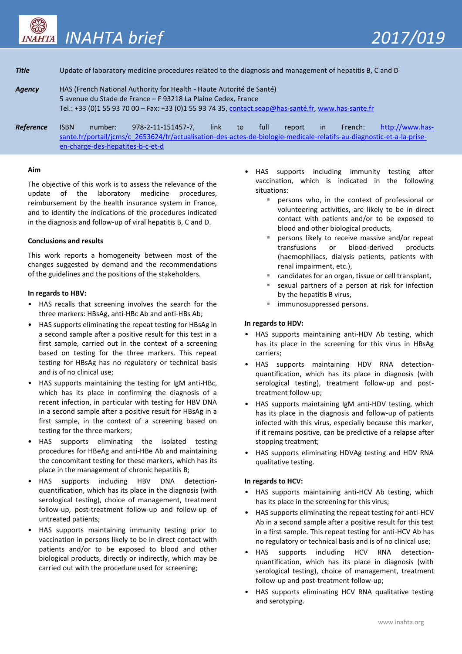

# **Title** Update of laboratory medicine procedures related to the diagnosis and management of hepatitis B, C and D

*Agency* HAS (French National Authority for Health - Haute Autorité de Santé) 5 avenue du Stade de France – F 93218 La Plaine Cedex, France Tel.: +33 (0)1 55 93 70 00 – Fax: +33 (0)1 55 93 74 35[, contact.seap@has-santé.fr,](mailto:contact.seap@has-santé.fr) [www.has-sante.fr](file://///honshu/reseau$/DEMESP/03_SEAP/03_LE_SERVICE/12_TRADUCTIONS/Traductions%202016/Valise%20traduction%20Ã %20COPIER/www.has-sante.fr)

*Reference* ISBN number: 978-2-11-151457-7, link to full report in French: [http://www.has](http://www.has-sante.fr/portail/jcms/c_2653624/fr/actualisation-des-actes-de-biologie-medicale-relatifs-au-diagnostic-et-a-la-prise-en-charge-des-hepatites-b-c-et-d)[sante.fr/portail/jcms/c\\_2653624/fr/actualisation-des-actes-de-biologie-medicale-relatifs-au-diagnostic-et-a-la-prise](http://www.has-sante.fr/portail/jcms/c_2653624/fr/actualisation-des-actes-de-biologie-medicale-relatifs-au-diagnostic-et-a-la-prise-en-charge-des-hepatites-b-c-et-d)[en-charge-des-hepatites-b-c-et-d](http://www.has-sante.fr/portail/jcms/c_2653624/fr/actualisation-des-actes-de-biologie-medicale-relatifs-au-diagnostic-et-a-la-prise-en-charge-des-hepatites-b-c-et-d)

### **Aim**

The objective of this work is to assess the relevance of the update of the laboratory medicine procedures, reimbursement by the health insurance system in France, and to identify the indications of the procedures indicated in the diagnosis and follow-up of viral hepatitis B, C and D.

### **Conclusions and results**

This work reports a homogeneity between most of the changes suggested by demand and the recommendations of the guidelines and the positions of the stakeholders.

### **In regards to HBV:**

- HAS recalls that screening involves the search for the three markers: HBsAg, anti-HBc Ab and anti-HBs Ab;
- HAS supports eliminating the repeat testing for HBsAg in a second sample after a positive result for this test in a first sample, carried out in the context of a screening based on testing for the three markers. This repeat testing for HBsAg has no regulatory or technical basis and is of no clinical use;
- HAS supports maintaining the testing for IgM anti-HBc, which has its place in confirming the diagnosis of a recent infection, in particular with testing for HBV DNA in a second sample after a positive result for HBsAg in a first sample, in the context of a screening based on testing for the three markers;
- HAS supports eliminating the isolated testing procedures for HBeAg and anti-HBe Ab and maintaining the concomitant testing for these markers, which has its place in the management of chronic hepatitis B;
- HAS supports including HBV DNA detectionquantification, which has its place in the diagnosis (with serological testing), choice of management, treatment follow-up, post-treatment follow-up and follow-up of untreated patients;
- HAS supports maintaining immunity testing prior to vaccination in persons likely to be in direct contact with patients and/or to be exposed to blood and other biological products, directly or indirectly, which may be carried out with the procedure used for screening;
- HAS supports including immunity testing after vaccination, which is indicated in the following situations:
	- persons who, in the context of professional or volunteering activities, are likely to be in direct contact with patients and/or to be exposed to blood and other biological products,
	- persons likely to receive massive and/or repeat transfusions or blood-derived products (haemophiliacs, dialysis patients, patients with renal impairment, etc.),
	- candidates for an organ, tissue or cell transplant,
	- sexual partners of a person at risk for infection by the hepatitis B virus,
	- immunosuppressed persons.

## **In regards to HDV:**

- HAS supports maintaining anti-HDV Ab testing, which has its place in the screening for this virus in HBsAg carriers;
- HAS supports maintaining HDV RNA detectionquantification, which has its place in diagnosis (with serological testing), treatment follow-up and posttreatment follow-up;
- HAS supports maintaining IgM anti-HDV testing, which has its place in the diagnosis and follow-up of patients infected with this virus, especially because this marker, if it remains positive, can be predictive of a relapse after stopping treatment;
- HAS supports eliminating HDVAg testing and HDV RNA qualitative testing.

## **In regards to HCV:**

- HAS supports maintaining anti-HCV Ab testing, which has its place in the screening for this virus;
- HAS supports eliminating the repeat testing for anti-HCV Ab in a second sample after a positive result for this test in a first sample. This repeat testing for anti-HCV Ab has no regulatory or technical basis and is of no clinical use;
- HAS supports including HCV RNA detectionquantification, which has its place in diagnosis (with serological testing), choice of management, treatment follow-up and post-treatment follow-up;
- HAS supports eliminating HCV RNA qualitative testing and serotyping.